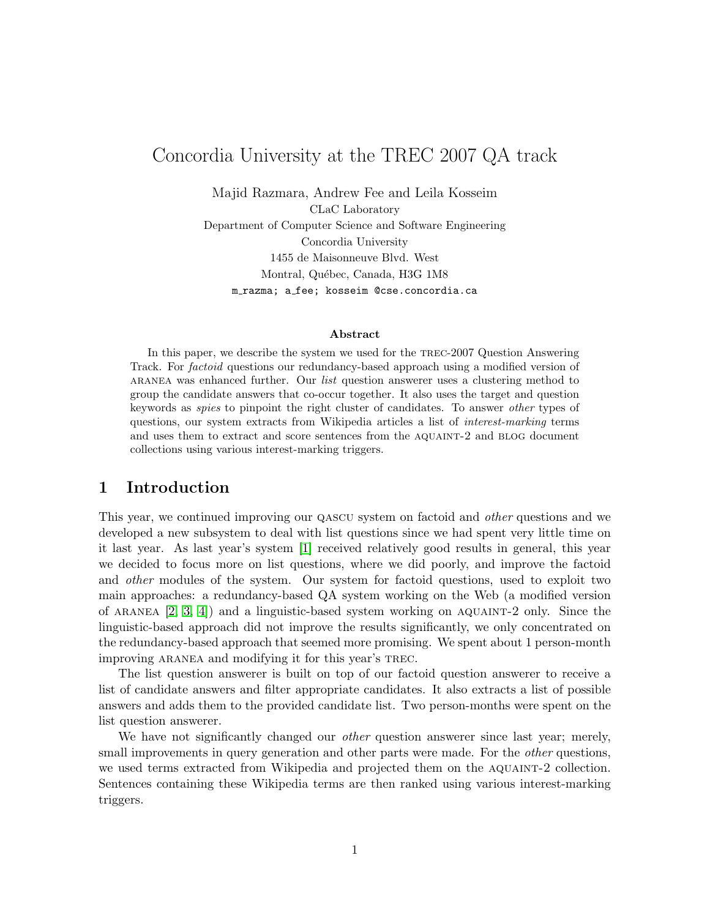# Concordia University at the TREC 2007 QA track

Majid Razmara, Andrew Fee and Leila Kosseim CLaC Laboratory Department of Computer Science and Software Engineering Concordia University 1455 de Maisonneuve Blvd. West Montral, Québec, Canada, H3G 1M8 m razma; a fee; kosseim @cse.concordia.ca

#### Abstract

In this paper, we describe the system we used for the trec-2007 Question Answering Track. For factoid questions our redundancy-based approach using a modified version of ARANEA was enhanced further. Our *list* question answerer uses a clustering method to group the candidate answers that co-occur together. It also uses the target and question keywords as spies to pinpoint the right cluster of candidates. To answer other types of questions, our system extracts from Wikipedia articles a list of interest-marking terms and uses them to extract and score sentences from the aquaint-2 and blog document collections using various interest-marking triggers.

### 1 Introduction

This year, we continued improving our QASCU system on factoid and *other* questions and we developed a new subsystem to deal with list questions since we had spent very little time on it last year. As last year's system [\[1\]](#page-9-0) received relatively good results in general, this year we decided to focus more on list questions, where we did poorly, and improve the factoid and other modules of the system. Our system for factoid questions, used to exploit two main approaches: a redundancy-based QA system working on the Web (a modified version of ARANEA  $[2, 3, 4]$  $[2, 3, 4]$  $[2, 3, 4]$  and a linguistic-based system working on AQUAINT-2 only. Since the linguistic-based approach did not improve the results significantly, we only concentrated on the redundancy-based approach that seemed more promising. We spent about 1 person-month improving ARANEA and modifying it for this year's TREC.

The list question answerer is built on top of our factoid question answerer to receive a list of candidate answers and filter appropriate candidates. It also extracts a list of possible answers and adds them to the provided candidate list. Two person-months were spent on the list question answerer.

We have not significantly changed our *other* question answerer since last year; merely, small improvements in query generation and other parts were made. For the *other* questions, we used terms extracted from Wikipedia and projected them on the AQUAINT-2 collection. Sentences containing these Wikipedia terms are then ranked using various interest-marking triggers.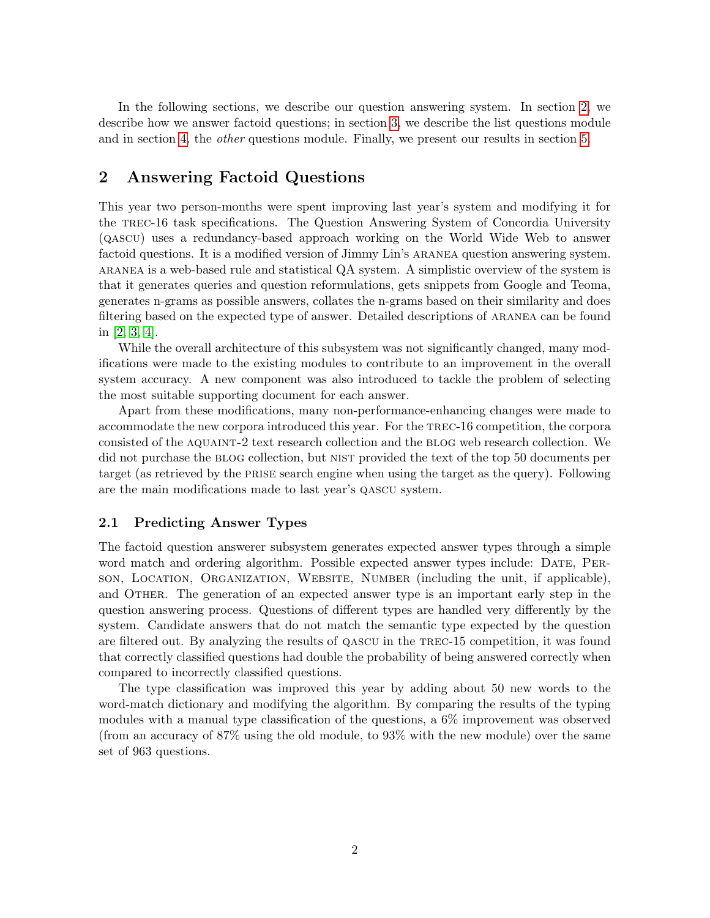In the following sections, we describe our question answering system. In section [2,](#page-1-0) we describe how we answer factoid questions; in section [3,](#page-3-0) we describe the list questions module and in section [4,](#page-6-0) the other questions module. Finally, we present our results in section [5.](#page-7-0)

## <span id="page-1-0"></span>2 Answering Factoid Questions

This year two person-months were spent improving last year's system and modifying it for the trec-16 task specifications. The Question Answering System of Concordia University (qascu) uses a redundancy-based approach working on the World Wide Web to answer factoid questions. It is a modified version of Jimmy Lin's ARANEA question answering system. aranea is a web-based rule and statistical QA system. A simplistic overview of the system is that it generates queries and question reformulations, gets snippets from Google and Teoma, generates n-grams as possible answers, collates the n-grams based on their similarity and does filtering based on the expected type of answer. Detailed descriptions of ARANEA can be found in [\[2,](#page-9-1) [3,](#page-9-2) [4\]](#page-9-3).

While the overall architecture of this subsystem was not significantly changed, many modifications were made to the existing modules to contribute to an improvement in the overall system accuracy. A new component was also introduced to tackle the problem of selecting the most suitable supporting document for each answer.

Apart from these modifications, many non-performance-enhancing changes were made to accommodate the new corpora introduced this year. For the trec-16 competition, the corpora consisted of the aquaint-2 text research collection and the blog web research collection. We did not purchase the blog collection, but nist provided the text of the top 50 documents per target (as retrieved by the prise search engine when using the target as the query). Following are the main modifications made to last year's qascu system.

### 2.1 Predicting Answer Types

The factoid question answerer subsystem generates expected answer types through a simple word match and ordering algorithm. Possible expected answer types include: DATE, PERson, Location, Organization, Website, Number (including the unit, if applicable), and OTHER. The generation of an expected answer type is an important early step in the question answering process. Questions of different types are handled very differently by the system. Candidate answers that do not match the semantic type expected by the question are filtered out. By analyzing the results of qascu in the trec-15 competition, it was found that correctly classified questions had double the probability of being answered correctly when compared to incorrectly classified questions.

The type classification was improved this year by adding about 50 new words to the word-match dictionary and modifying the algorithm. By comparing the results of the typing modules with a manual type classification of the questions, a 6% improvement was observed (from an accuracy of 87% using the old module, to 93% with the new module) over the same set of 963 questions.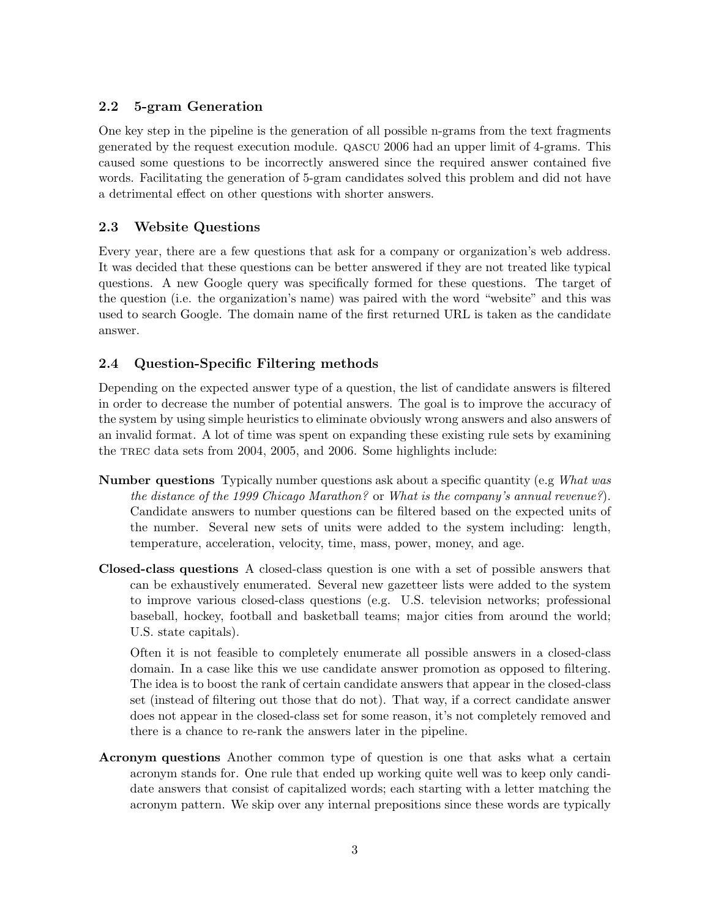## 2.2 5-gram Generation

One key step in the pipeline is the generation of all possible n-grams from the text fragments generated by the request execution module. qascu 2006 had an upper limit of 4-grams. This caused some questions to be incorrectly answered since the required answer contained five words. Facilitating the generation of 5-gram candidates solved this problem and did not have a detrimental effect on other questions with shorter answers.

## 2.3 Website Questions

Every year, there are a few questions that ask for a company or organization's web address. It was decided that these questions can be better answered if they are not treated like typical questions. A new Google query was specifically formed for these questions. The target of the question (i.e. the organization's name) was paired with the word "website" and this was used to search Google. The domain name of the first returned URL is taken as the candidate answer.

## 2.4 Question-Specific Filtering methods

Depending on the expected answer type of a question, the list of candidate answers is filtered in order to decrease the number of potential answers. The goal is to improve the accuracy of the system by using simple heuristics to eliminate obviously wrong answers and also answers of an invalid format. A lot of time was spent on expanding these existing rule sets by examining the trec data sets from 2004, 2005, and 2006. Some highlights include:

- Number questions Typically number questions ask about a specific quantity (e.g What was the distance of the 1999 Chicago Marathon? or What is the company's annual revenue?). Candidate answers to number questions can be filtered based on the expected units of the number. Several new sets of units were added to the system including: length, temperature, acceleration, velocity, time, mass, power, money, and age.
- Closed-class questions A closed-class question is one with a set of possible answers that can be exhaustively enumerated. Several new gazetteer lists were added to the system to improve various closed-class questions (e.g. U.S. television networks; professional baseball, hockey, football and basketball teams; major cities from around the world; U.S. state capitals).

Often it is not feasible to completely enumerate all possible answers in a closed-class domain. In a case like this we use candidate answer promotion as opposed to filtering. The idea is to boost the rank of certain candidate answers that appear in the closed-class set (instead of filtering out those that do not). That way, if a correct candidate answer does not appear in the closed-class set for some reason, it's not completely removed and there is a chance to re-rank the answers later in the pipeline.

Acronym questions Another common type of question is one that asks what a certain acronym stands for. One rule that ended up working quite well was to keep only candidate answers that consist of capitalized words; each starting with a letter matching the acronym pattern. We skip over any internal prepositions since these words are typically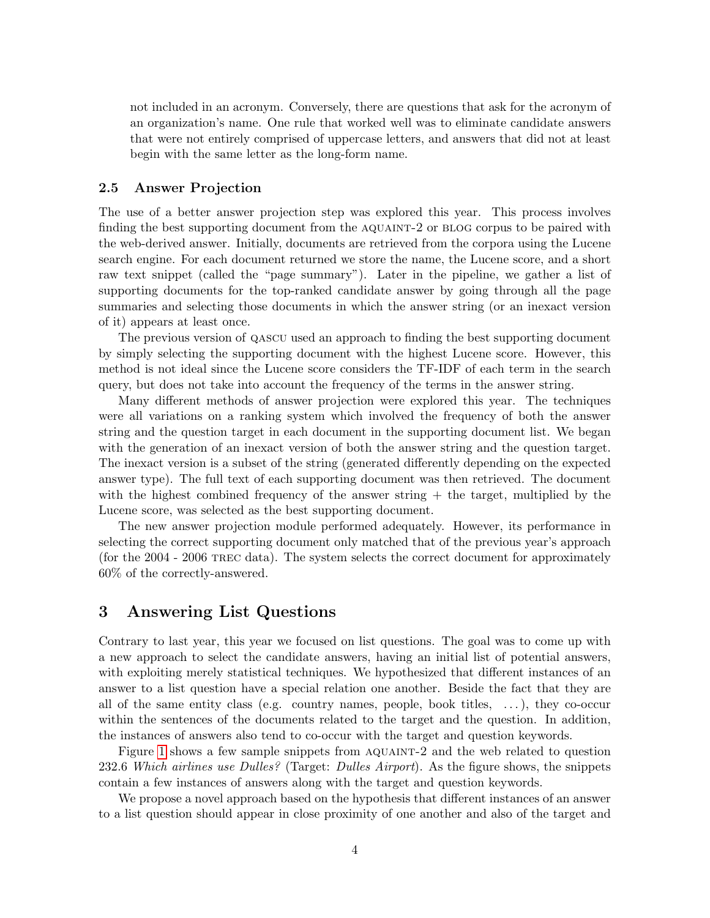not included in an acronym. Conversely, there are questions that ask for the acronym of an organization's name. One rule that worked well was to eliminate candidate answers that were not entirely comprised of uppercase letters, and answers that did not at least begin with the same letter as the long-form name.

#### 2.5 Answer Projection

The use of a better answer projection step was explored this year. This process involves finding the best supporting document from the AQUAINT-2 or BLOG corpus to be paired with the web-derived answer. Initially, documents are retrieved from the corpora using the Lucene search engine. For each document returned we store the name, the Lucene score, and a short raw text snippet (called the "page summary"). Later in the pipeline, we gather a list of supporting documents for the top-ranked candidate answer by going through all the page summaries and selecting those documents in which the answer string (or an inexact version of it) appears at least once.

The previous version of qascu used an approach to finding the best supporting document by simply selecting the supporting document with the highest Lucene score. However, this method is not ideal since the Lucene score considers the TF-IDF of each term in the search query, but does not take into account the frequency of the terms in the answer string.

Many different methods of answer projection were explored this year. The techniques were all variations on a ranking system which involved the frequency of both the answer string and the question target in each document in the supporting document list. We began with the generation of an inexact version of both the answer string and the question target. The inexact version is a subset of the string (generated differently depending on the expected answer type). The full text of each supporting document was then retrieved. The document with the highest combined frequency of the answer string + the target, multiplied by the Lucene score, was selected as the best supporting document.

The new answer projection module performed adequately. However, its performance in selecting the correct supporting document only matched that of the previous year's approach (for the 2004 - 2006 TREC data). The system selects the correct document for approximately 60% of the correctly-answered.

### <span id="page-3-0"></span>3 Answering List Questions

Contrary to last year, this year we focused on list questions. The goal was to come up with a new approach to select the candidate answers, having an initial list of potential answers, with exploiting merely statistical techniques. We hypothesized that different instances of an answer to a list question have a special relation one another. Beside the fact that they are all of the same entity class (e.g. country names, people, book titles,  $\dots$ ), they co-occur within the sentences of the documents related to the target and the question. In addition, the instances of answers also tend to co-occur with the target and question keywords.

Figure [1](#page-4-0) shows a few sample snippets from AQUAINT-2 and the web related to question 232.6 Which airlines use Dulles? (Target: Dulles Airport). As the figure shows, the snippets contain a few instances of answers along with the target and question keywords.

We propose a novel approach based on the hypothesis that different instances of an answer to a list question should appear in close proximity of one another and also of the target and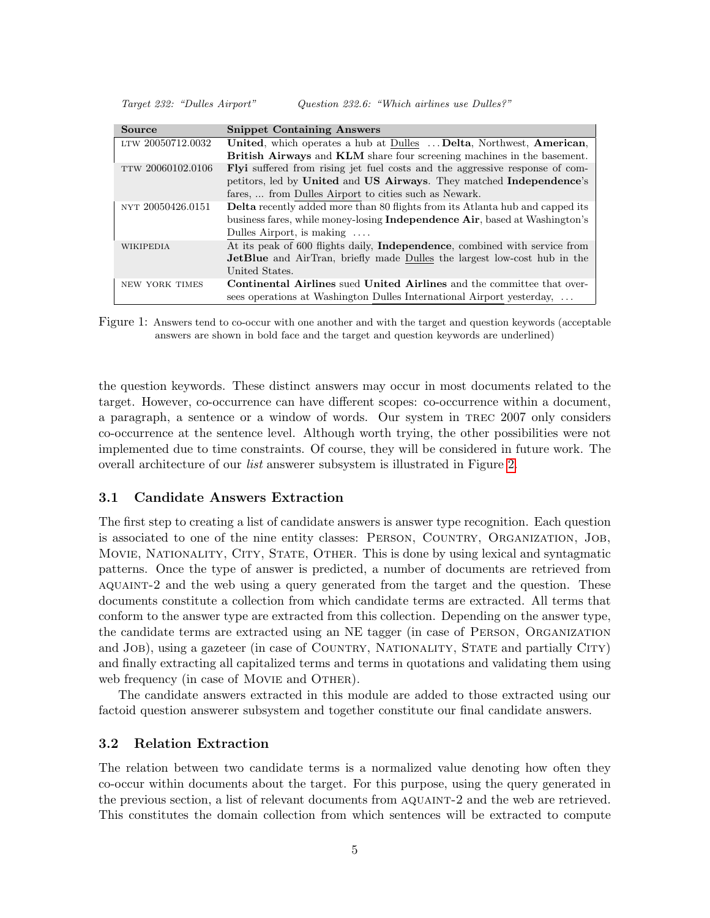Target 232: "Dulles Airport" Question 232.6: "Which airlines use Dulles?"

| Source                | <b>Snippet Containing Answers</b>                                                    |
|-----------------------|--------------------------------------------------------------------------------------|
| LTW 20050712.0032     | United, which operates a hub at Dulles  Delta, Northwest, American,                  |
|                       | <b>British Airways</b> and <b>KLM</b> share four screening machines in the basement. |
| TTW 20060102.0106     | <b>Flyi</b> suffered from rising jet fuel costs and the aggressive response of com-  |
|                       | petitors, led by United and US Airways. They matched Independence's                  |
|                       | fares,  from Dulles Airport to cities such as Newark.                                |
| NYT 20050426.0151     | Delta recently added more than 80 flights from its Atlanta hub and capped its        |
|                       | business fares, while money-losing <b>Independence Air</b> , based at Washington's   |
|                       | Dulles Airport, is making $\dots$                                                    |
| WIKIPEDIA             | At its peak of 600 flights daily, Independence, combined with service from           |
|                       | <b>JetBlue</b> and AirTran, briefly made Dulles the largest low-cost hub in the      |
|                       | United States.                                                                       |
| <b>NEW YORK TIMES</b> | <b>Continental Airlines</b> sued <b>United Airlines</b> and the committee that over- |
|                       | sees operations at Washington Dulles International Airport yesterday,                |

<span id="page-4-0"></span>Figure 1: Answers tend to co-occur with one another and with the target and question keywords (acceptable answers are shown in bold face and the target and question keywords are underlined)

the question keywords. These distinct answers may occur in most documents related to the target. However, co-occurrence can have different scopes: co-occurrence within a document, a paragraph, a sentence or a window of words. Our system in trec 2007 only considers co-occurrence at the sentence level. Although worth trying, the other possibilities were not implemented due to time constraints. Of course, they will be considered in future work. The overall architecture of our list answerer subsystem is illustrated in Figure [2.](#page-5-0)

#### 3.1 Candidate Answers Extraction

The first step to creating a list of candidate answers is answer type recognition. Each question is associated to one of the nine entity classes: Person, Country, Organization, Job, Movie, Nationality, City, State, Other. This is done by using lexical and syntagmatic patterns. Once the type of answer is predicted, a number of documents are retrieved from aquaint-2 and the web using a query generated from the target and the question. These documents constitute a collection from which candidate terms are extracted. All terms that conform to the answer type are extracted from this collection. Depending on the answer type, the candidate terms are extracted using an NE tagger (in case of Person, Organization and JOB), using a gazeteer (in case of COUNTRY, NATIONALITY, STATE and partially CITY) and finally extracting all capitalized terms and terms in quotations and validating them using web frequency (in case of MOVIE and OTHER).

The candidate answers extracted in this module are added to those extracted using our factoid question answerer subsystem and together constitute our final candidate answers.

#### 3.2 Relation Extraction

The relation between two candidate terms is a normalized value denoting how often they co-occur within documents about the target. For this purpose, using the query generated in the previous section, a list of relevant documents from AQUAINT-2 and the web are retrieved. This constitutes the domain collection from which sentences will be extracted to compute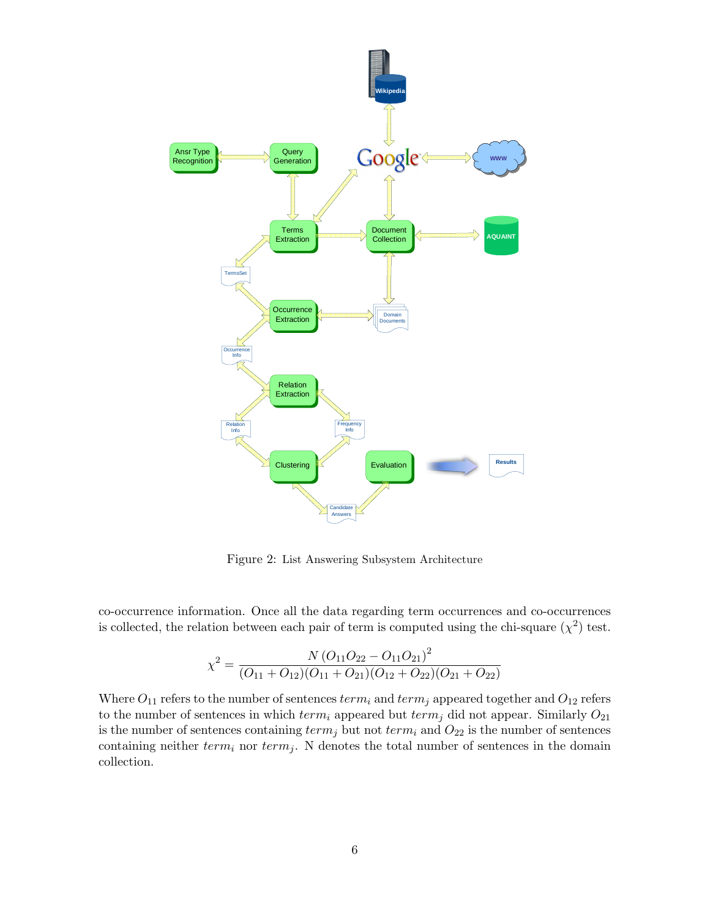

<span id="page-5-0"></span>Figure 2: List Answering Subsystem Architecture

co-occurrence information. Once all the data regarding term occurrences and co-occurrences is collected, the relation between each pair of term is computed using the chi-square  $(\chi^2)$  test.

$$
\chi^2 = \frac{N\left(O_{11}O_{22} - O_{11}O_{21}\right)^2}{(O_{11} + O_{12})(O_{11} + O_{21})(O_{12} + O_{22})(O_{21} + O_{22})}
$$

Where  $O_{11}$  refers to the number of sentences  $term_i$  and  $term_j$  appeared together and  $O_{12}$  refers to the number of sentences in which  $term_i$  appeared but  $term_j$  did not appear. Similarly  $O_{21}$ is the number of sentences containing  $term_j$  but not  $term_i$  and  $O_{22}$  is the number of sentences containing neither  $term_i$  nor  $term_j$ . N denotes the total number of sentences in the domain collection.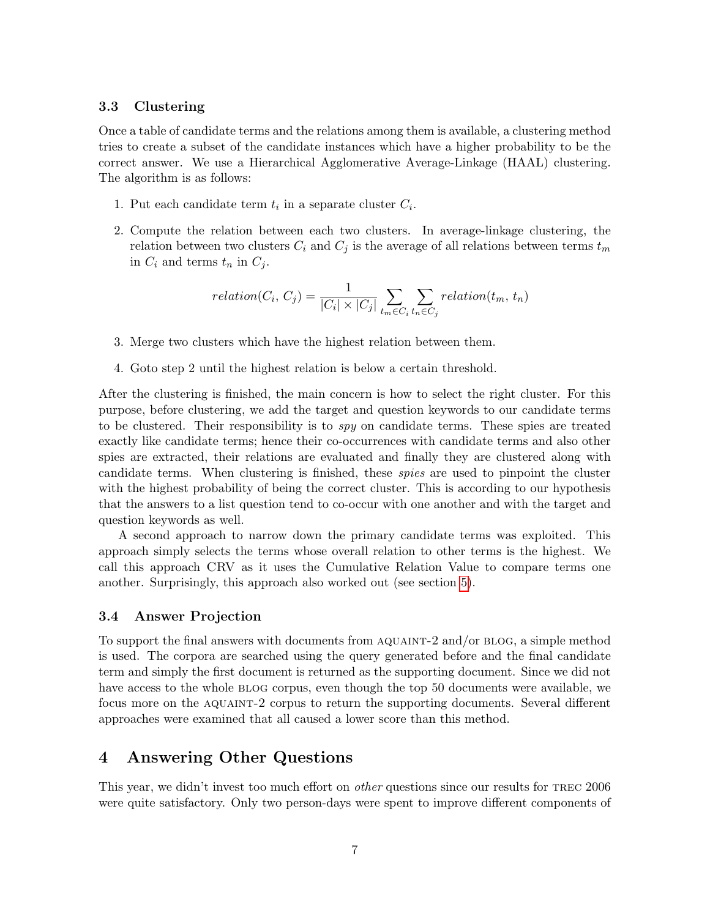#### 3.3 Clustering

Once a table of candidate terms and the relations among them is available, a clustering method tries to create a subset of the candidate instances which have a higher probability to be the correct answer. We use a Hierarchical Agglomerative Average-Linkage (HAAL) clustering. The algorithm is as follows:

- 1. Put each candidate term  $t_i$  in a separate cluster  $C_i$ .
- 2. Compute the relation between each two clusters. In average-linkage clustering, the relation between two clusters  $C_i$  and  $C_j$  is the average of all relations between terms  $t_m$ in  $C_i$  and terms  $t_n$  in  $C_j$ .

$$
relation(C_i, C_j) = \frac{1}{|C_i| \times |C_j|} \sum_{t_m \in C_i} \sum_{t_n \in C_j} relation(t_m, t_n)
$$

- 3. Merge two clusters which have the highest relation between them.
- 4. Goto step 2 until the highest relation is below a certain threshold.

After the clustering is finished, the main concern is how to select the right cluster. For this purpose, before clustering, we add the target and question keywords to our candidate terms to be clustered. Their responsibility is to spy on candidate terms. These spies are treated exactly like candidate terms; hence their co-occurrences with candidate terms and also other spies are extracted, their relations are evaluated and finally they are clustered along with candidate terms. When clustering is finished, these spies are used to pinpoint the cluster with the highest probability of being the correct cluster. This is according to our hypothesis that the answers to a list question tend to co-occur with one another and with the target and question keywords as well.

A second approach to narrow down the primary candidate terms was exploited. This approach simply selects the terms whose overall relation to other terms is the highest. We call this approach CRV as it uses the Cumulative Relation Value to compare terms one another. Surprisingly, this approach also worked out (see section [5\)](#page-7-0).

#### 3.4 Answer Projection

To support the final answers with documents from AQUAINT-2 and/or BLOG, a simple method is used. The corpora are searched using the query generated before and the final candidate term and simply the first document is returned as the supporting document. Since we did not have access to the whole BLOG corpus, even though the top 50 documents were available, we focus more on the aquaint-2 corpus to return the supporting documents. Several different approaches were examined that all caused a lower score than this method.

### <span id="page-6-0"></span>4 Answering Other Questions

This year, we didn't invest too much effort on *other* questions since our results for TREC 2006 were quite satisfactory. Only two person-days were spent to improve different components of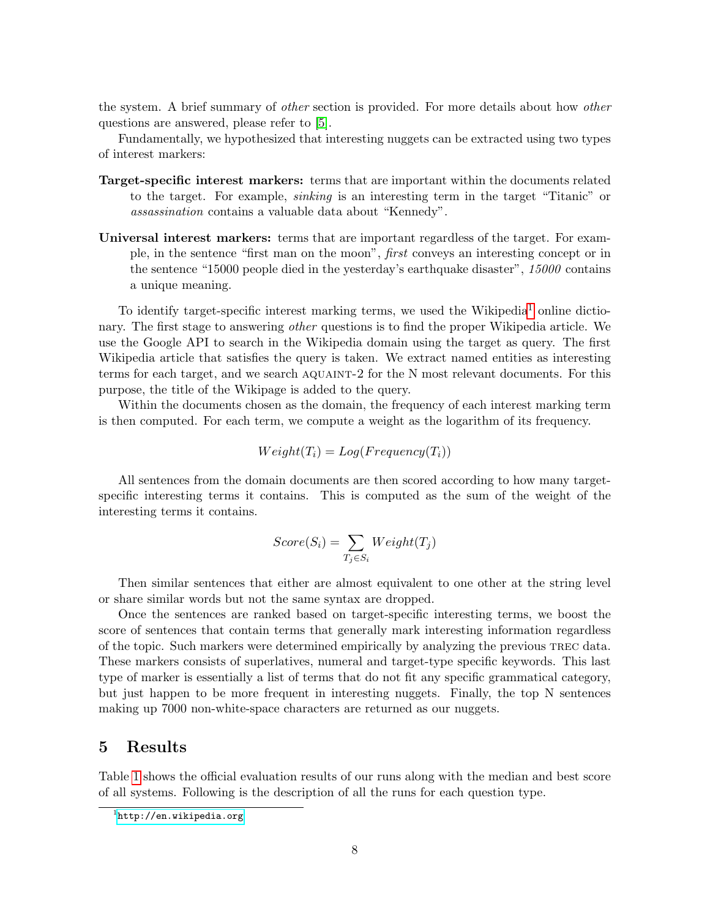the system. A brief summary of other section is provided. For more details about how other questions are answered, please refer to [\[5\]](#page-9-4).

Fundamentally, we hypothesized that interesting nuggets can be extracted using two types of interest markers:

- Target-specific interest markers: terms that are important within the documents related to the target. For example, sinking is an interesting term in the target "Titanic" or assassination contains a valuable data about "Kennedy".
- Universal interest markers: terms that are important regardless of the target. For example, in the sentence "first man on the moon", first conveys an interesting concept or in the sentence "15000 people died in the yesterday's earthquake disaster", 15000 contains a unique meaning.

To identify target-specific interest marking terms, we used the Wikipedia<sup>[1](#page-7-1)</sup> online dictionary. The first stage to answering *other* questions is to find the proper Wikipedia article. We use the Google API to search in the Wikipedia domain using the target as query. The first Wikipedia article that satisfies the query is taken. We extract named entities as interesting terms for each target, and we search aquaint-2 for the N most relevant documents. For this purpose, the title of the Wikipage is added to the query.

Within the documents chosen as the domain, the frequency of each interest marking term is then computed. For each term, we compute a weight as the logarithm of its frequency.

$$
Weight(T_i) = Log(Frequency(T_i))
$$

All sentences from the domain documents are then scored according to how many targetspecific interesting terms it contains. This is computed as the sum of the weight of the interesting terms it contains.

$$
Score(S_i) = \sum_{T_j \in S_i} Weight(T_j)
$$

Then similar sentences that either are almost equivalent to one other at the string level or share similar words but not the same syntax are dropped.

Once the sentences are ranked based on target-specific interesting terms, we boost the score of sentences that contain terms that generally mark interesting information regardless of the topic. Such markers were determined empirically by analyzing the previous trec data. These markers consists of superlatives, numeral and target-type specific keywords. This last type of marker is essentially a list of terms that do not fit any specific grammatical category, but just happen to be more frequent in interesting nuggets. Finally, the top N sentences making up 7000 non-white-space characters are returned as our nuggets.

### <span id="page-7-0"></span>5 Results

Table [1](#page-8-0) shows the official evaluation results of our runs along with the median and best score of all systems. Following is the description of all the runs for each question type.

<span id="page-7-1"></span><sup>1</sup> <http://en.wikipedia.org>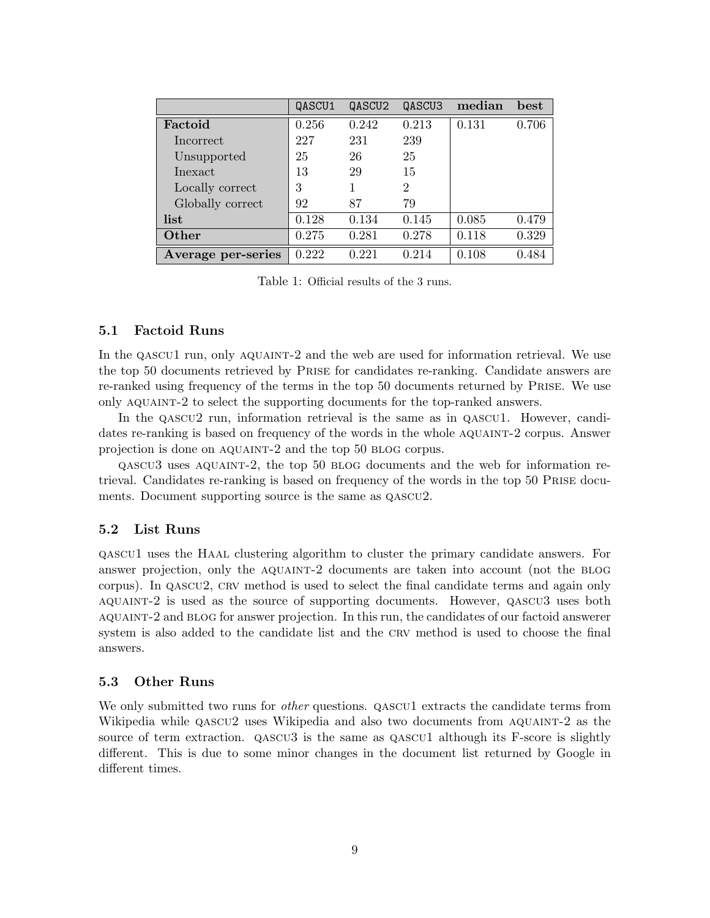|                    | QASCU1 | QASCU2 | QASCU3         | median | best  |
|--------------------|--------|--------|----------------|--------|-------|
| Factoid            | 0.256  | 0.242  | 0.213          | 0.131  | 0.706 |
| Incorrect          | 227    | 231    | 239            |        |       |
| Unsupported        | 25     | 26     | 25             |        |       |
| Inexact            | 13     | 29     | 15             |        |       |
| Locally correct    | 3      |        | $\overline{2}$ |        |       |
| Globally correct   | 92     | 87     | 79             |        |       |
| list               | 0.128  | 0.134  | 0.145          | 0.085  | 0.479 |
| Other              | 0.275  | 0.281  | 0.278          | 0.118  | 0.329 |
| Average per-series | 0.222  | 0.221  | 0.214          | 0.108  | 0.484 |

<span id="page-8-0"></span>Table 1: Official results of the 3 runs.

#### 5.1 Factoid Runs

In the QASCU1 run, only AQUAINT-2 and the web are used for information retrieval. We use the top 50 documents retrieved by Prise for candidates re-ranking. Candidate answers are re-ranked using frequency of the terms in the top 50 documents returned by Prise. We use only aquaint-2 to select the supporting documents for the top-ranked answers.

In the qascu2 run, information retrieval is the same as in qascu1. However, candidates re-ranking is based on frequency of the words in the whole AQUAINT-2 corpus. Answer projection is done on aquaint-2 and the top 50 blog corpus.

qascu3 uses aquaint-2, the top 50 blog documents and the web for information retrieval. Candidates re-ranking is based on frequency of the words in the top 50 Prise documents. Document supporting source is the same as  $QASCU2$ .

#### 5.2 List Runs

qascu1 uses the Haal clustering algorithm to cluster the primary candidate answers. For answer projection, only the AQUAINT-2 documents are taken into account (not the BLOG corpus). In qascu2, crv method is used to select the final candidate terms and again only aquaint-2 is used as the source of supporting documents. However, qascu3 uses both aquaint-2 and blog for answer projection. In this run, the candidates of our factoid answerer system is also added to the candidate list and the CRV method is used to choose the final answers.

#### 5.3 Other Runs

We only submitted two runs for *other* questions. QASCU1 extracts the candidate terms from Wikipedia while  $QASCU2$  uses Wikipedia and also two documents from AQUAINT-2 as the source of term extraction. QASCU3 is the same as QASCU1 although its F-score is slightly different. This is due to some minor changes in the document list returned by Google in different times.